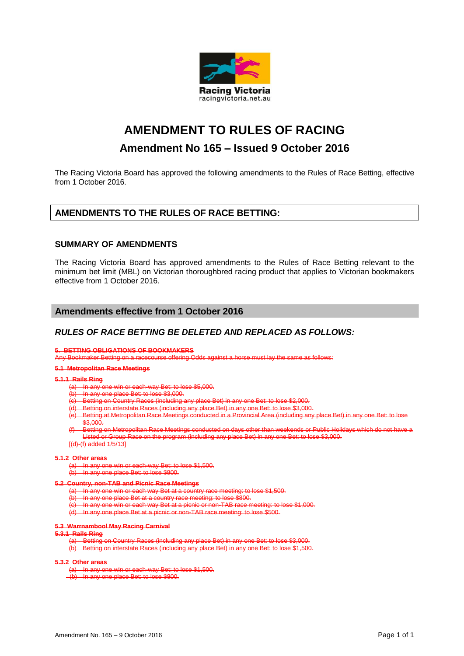

# **AMENDMENT TO RULES OF RACING**

## **Amendment No 165 – Issued 9 October 2016**

The Racing Victoria Board has approved the following amendments to the Rules of Race Betting, effective from 1 October 2016.

## **AMENDMENTS TO THE RULES OF RACE BETTING:**

## **SUMMARY OF AMENDMENTS**

The Racing Victoria Board has approved amendments to the Rules of Race Betting relevant to the minimum bet limit (MBL) on Victorian thoroughbred racing product that applies to Victorian bookmakers effective from 1 October 2016.

## **Amendments effective from 1 October 2016**

## *RULES OF RACE BETTING BE DELETED AND REPLACED AS FOLLOWS:*

#### **5. BETTING OBLIGATIONS OF BOOKMAKERS**

Any Bookmaker Betting on a racecourse offering Odds against a horse must lay the same as follows:

#### **5.1 Metropolitan Race Meetings**

## **5.1.1 Rails Ring**

- (a) In any one win or each-way Bet: to lose \$5,000.
- In any one place Bet: to lose \$3,000.
- Betting on Country Races (including any place Bet) in any one Bet: to lose \$2,000.
- Betting on interstate Races (including any place Bet) in any one Bet: to lose \$3,000.
- Betting at Metropolitan Race Meetings conducted in a Provincial Area (including any place Bet) in any one Bet: to lose \$3,000.
- .<br>Betting on Metropolitan Race Meetings conducted on days other than weekends or Public Holidays which do not have Listed or Group Race on the program (including any place Bet) in any one Bet: to lose \$3,000.
- $[(d)-(f)$  added  $1/5/13]$

## **5.1.2 Other areas**

- (a) In any one win or each-way Bet: to lose \$1,500.
- $(b)$  In any one place Bet: to lose \$800.
- **5.2 Country, non-TAB and Picnic Race Meetings**
	- (a) In any one win or each way Bet at a country race meeting: to lose \$1,500.
	- (b) In any one place Bet at a country race meeting: to lose \$800.
	-
	- In any one win or each way Bet at a picnic or non-TAB race meeting: to lose \$1,000. In any one place Bet at a picnic or non-TAB race meeting: to lose \$500.

#### **5.3 Warrnambool May Racing Carnival**

#### **5.3.1 Rails Ring**

- (a) Betting on Country Races (including any place Bet) in any one Bet: to lose \$3,000.<br>(b) Betting on interstate Races (including any place Bet) in any one Bet: to lose \$1,500
- rstate Races (including any place Bet) in any one Bet: to lose \$1,500.

### **5.3.2 Other areas**

- (a) In any one win or each-way Bet: to lose \$1,500.
- (b) In any one place Bet: to lose \$800.